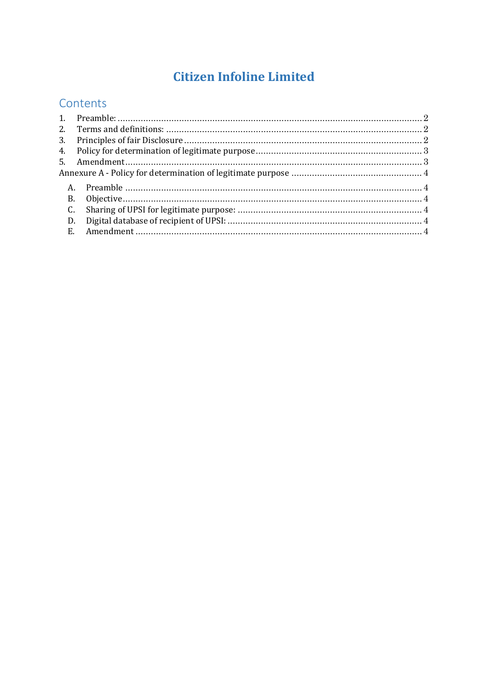# **Citizen Infoline Limited**

## Contents

| <b>B.</b> |  |
|-----------|--|
| C.        |  |
| D.        |  |
| E.        |  |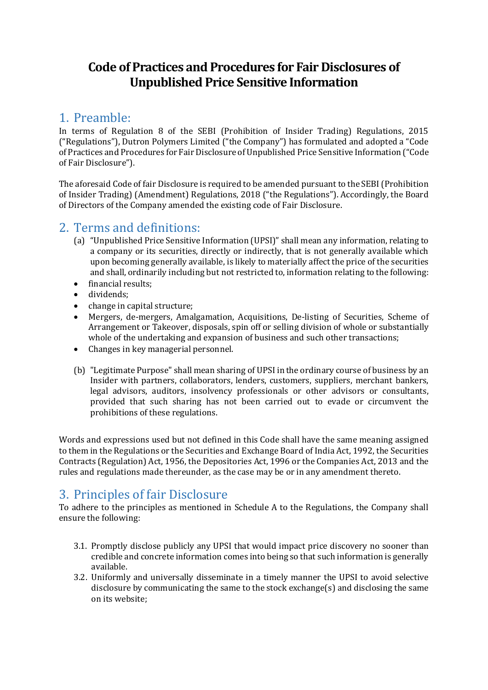# **Code of Practices and Procedures for Fair Disclosures of Unpublished Price Sensitive Information**

### <span id="page-1-0"></span>1. Preamble:

In terms of Regulation 8 of the SEBI (Prohibition of Insider Trading) Regulations, 2015 ("Regulations"), Dutron Polymers Limited ("the Company") has formulated and adopted a "Code of Practices and Procedures for Fair Disclosure of Unpublished Price Sensitive Information ("Code of Fair Disclosure").

The aforesaid Code of fair Disclosure is required to be amended pursuant to the SEBI (Prohibition of Insider Trading) (Amendment) Regulations, 2018 ("the Regulations"). Accordingly, the Board of Directors of the Company amended the existing code of Fair Disclosure.

### <span id="page-1-1"></span>2. Terms and definitions:

- (a) "Unpublished Price Sensitive Information (UPSI)" shall mean any information, relating to a company or its securities, directly or indirectly, that is not generally available which upon becoming generally available, is likely to materially affect the price of the securities and shall, ordinarily including but not restricted to, information relating to the following:
- financial results;
- dividends;
- 
- change in capital structure;<br>• Mergers. de-mergers. Ama • Mergers, de-mergers, Amalgamation, Acquisitions, De-listing of Securities, Scheme of Arrangement or Takeover, disposals, spin off or selling division of whole or substantially whole of the undertaking and expansion of business and such other transactions;
- Changes in key managerial personnel.
- (b) "Legitimate Purpose" shall mean sharing of UPSI in the ordinary course of business by an Insider with partners, collaborators, lenders, customers, suppliers, merchant bankers, legal advisors, auditors, insolvency professionals or other advisors or consultants, provided that such sharing has not been carried out to evade or circumvent the prohibitions of these regulations.

Words and expressions used but not defined in this Code shall have the same meaning assigned to them in the Regulations or the Securities and Exchange Board of India Act, 1992, the Securities Contracts (Regulation) Act, 1956, the Depositories Act, 1996 or the Companies Act, 2013 and the rules and regulations made thereunder, as the case may be or in any amendment thereto.

# <span id="page-1-2"></span>3. Principles of fair Disclosure

To adhere to the principles as mentioned in Schedule A to the Regulations, the Company shall ensure the following:

- 3.1. Promptly disclose publicly any UPSI that would impact price discovery no sooner than credible and concrete information comes into being so that such information is generally available.
- 3.2. Uniformly and universally disseminate in a timely manner the UPSI to avoid selective disclosure by communicating the same to the stock exchange(s) and disclosing the same on its website;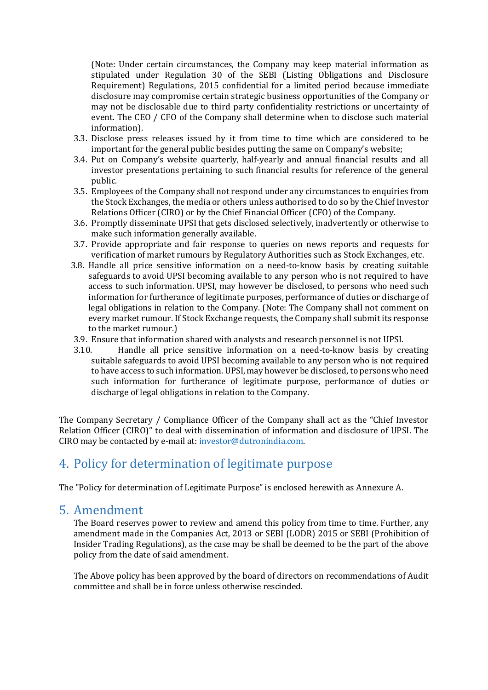(Note: Under certain circumstances, the Company may keep material information as stipulated under Regulation 30 of the SEBI (Listing Obligations and Disclosure Requirement) Regulations, 2015 confidential for a limited period because immediate disclosure may compromise certain strategic business opportunities of the Company or may not be disclosable due to third party confidentiality restrictions or uncertainty of event. The CEO / CFO of the Company shall determine when to disclose such material information).

- 3.3. Disclose press releases issued by it from time to time which are considered to be important for the general public besides putting the same on Company's website;
- 3.4. Put on Company's website quarterly, half-yearly and annual financial results and all investor presentations pertaining to such financial results for reference of the general public.
- 3.5. Employees of the Company shall not respond under any circumstances to enquiries from the Stock Exchanges, the media or others unless authorised to do so by the Chief Investor Relations Officer (CIRO) or by the Chief Financial Officer (CFO) of the Company.
- 3.6. Promptly disseminate UPSI that gets disclosed selectively, inadvertently or otherwise to make such information generally available.
- 3.7. Provide appropriate and fair response to queries on news reports and requests for verification of market rumours by Regulatory Authorities such as Stock Exchanges, etc.
- 3.8. Handle all price sensitive information on a need-to-know basis by creating suitable safeguards to avoid UPSI becoming available to any person who is not required to have access to such information. UPSI, may however be disclosed, to persons who need such information for furtherance of legitimate purposes, performance of duties or discharge of legal obligations in relation to the Company. (Note: The Company shall not comment on every market rumour. If Stock Exchange requests, the Company shall submit its response to the market rumour.)
- 3.9. Ensure that information shared with analysts and research personnel is not UPSI.<br>3.10. Handle all price sensitive information on a need-to-know basis by cr
- Handle all price sensitive information on a need-to-know basis by creating suitable safeguards to avoid UPSI becoming available to any person who is not required to have access to such information. UPSI, may however be disclosed, to persons who need such information for furtherance of legitimate purpose, performance of duties or discharge of legal obligations in relation to the Company.

The Company Secretary / Compliance Officer of the Company shall act as the "Chief Investor Relation Officer (CIRO)" to deal with dissemination of information and disclosure of UPSI. The CIRO may be contacted by e-mail at: [investor@dutronindia.com.](mailto:investor@dutronindia.com)

# <span id="page-2-0"></span>4. Policy for determination of legitimate purpose

The "Policy for determination of Legitimate Purpose" is enclosed herewith as Annexure A.

### <span id="page-2-1"></span>5. Amendment

The Board reserves power to review and amend this policy from time to time. Further, any amendment made in the Companies Act, 2013 or SEBI (LODR) 2015 or SEBI (Prohibition of Insider Trading Regulations), as the case may be shall be deemed to be the part of the above policy from the date of said amendment.

The Above policy has been approved by the board of directors on recommendations of Audit committee and shall be in force unless otherwise rescinded.